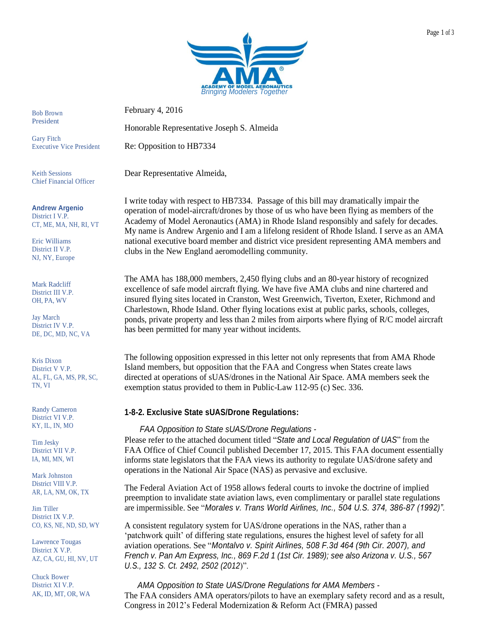

February 4, 2016

Honorable Representative Joseph S. Almeida

Executive Vice President Re: Opposition to HB7334

Dear Representative Almeida,

I write today with respect to HB7334. Passage of this bill may dramatically impair the operation of model-aircraft/drones by those of us who have been flying as members of the Academy of Model Aeronautics (AMA) in Rhode Island responsibly and safely for decades. My name is Andrew Argenio and I am a lifelong resident of Rhode Island. I serve as an AMA national executive board member and district vice president representing AMA members and clubs in the New England aeromodelling community.

The AMA has 188,000 members, 2,450 flying clubs and an 80-year history of recognized excellence of safe model aircraft flying. We have five AMA clubs and nine chartered and insured flying sites located in Cranston, West Greenwich, Tiverton, Exeter, Richmond and Charlestown, Rhode Island. Other flying locations exist at public parks, schools, colleges, ponds, private property and less than 2 miles from airports where flying of R/C model aircraft has been permitted for many year without incidents.

The following opposition expressed in this letter not only represents that from AMA Rhode Island members, but opposition that the FAA and Congress when States create laws directed at operations of sUAS/drones in the National Air Space. AMA members seek the exemption status provided to them in Public-Law 112-95 (c) Sec. 336.

## **1-8-2. Exclusive State sUAS/Drone Regulations:**

## *FAA Opposition to State sUAS/Drone Regulations -*

Please refer to the attached document titled "*State and Local Regulation of UAS*" from the FAA Office of Chief Council published December 17, 2015. This FAA document essentially informs state legislators that the FAA views its authority to regulate UAS/drone safety and operations in the National Air Space (NAS) as pervasive and exclusive.

The Federal Aviation Act of 1958 allows federal courts to invoke the doctrine of implied preemption to invalidate state aviation laws, even complimentary or parallel state regulations are impermissible. See "*Morales v. Trans World Airlines, Inc., 504 U.S. 374, 386-87 (1992)".*

A consistent regulatory system for UAS/drone operations in the NAS, rather than a 'patchwork quilt' of differing state regulations, ensures the highest level of safety for all aviation operations. See "*Montalvo v. Spirit Airlines, 508 F.3d 464 (9th Cir. 2007), and French v. Pan Am Express, Inc., 869 F.2d 1 (1st Cir. 1989); see also Arizona v. U.S., 567 U.S., 132 S. Ct. 2492, 2502 (2012*)".

 *AMA Opposition to State UAS/Drone Regulations for AMA Members -* The FAA considers AMA operators/pilots to have an exemplary safety record and as a result, Congress in 2012's Federal Modernization & Reform Act (FMRA) passed

Bob Brown President

Gary Fitch

Keith Sessions Chief Financial Officer

#### **Andrew Argenio**

District I V.P. CT, ME, MA, NH, RI, VT

Eric Williams District II V.P. NJ, NY, Europe

Mark Radcliff District III V.P. OH, PA, WV

Jay March District IV V.P. DE, DC, MD, NC, VA

Kris Dixon District V V.P. AL, FL, GA, MS, PR, SC, TN, VI

Randy Cameron District VI V.P. KY, IL, IN, MO

Tim Jesky District VII V.P. IA, MI, MN, WI

Mark Johnston District VIII V.P. AR, LA, NM, OK, TX

Jim Tiller District IX V.P. CO, KS, NE, ND, SD, WY

District X V.P. Lawrence Tougas AZ, CA, GU, HI, NV, UT

Chuck Bower District XI V.P. AK, ID, MT, OR, WA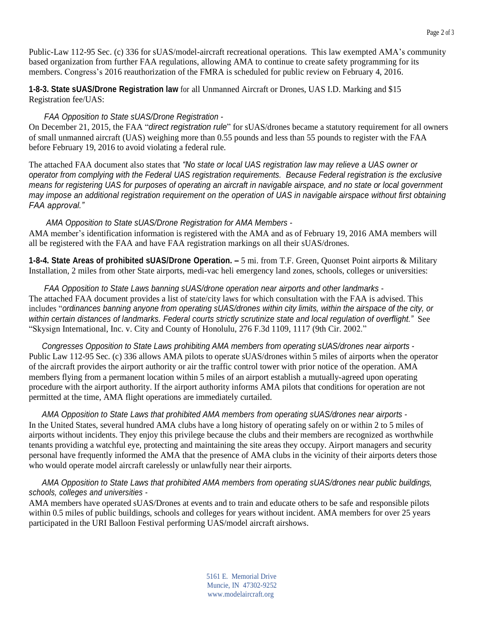**1-8-3. State sUAS/Drone Registration law** for all Unmanned Aircraft or Drones, UAS I.D. Marking and \$15 Registration fee/UAS:

# *FAA Opposition to State sUAS/Drone Registration -*

On December 21, 2015, the FAA "*direct registration rule*" for sUAS/drones became a statutory requirement for all owners of small unmanned aircraft (UAS) weighing more than 0.55 pounds and less than 55 pounds to register with the FAA before February 19, 2016 to avoid violating a federal rule.

The attached FAA document also states that *"No state or local UAS registration law may relieve a UAS owner or operator from complying with the Federal UAS registration requirements. Because Federal registration is the exclusive* means for registering UAS for purposes of operating an aircraft in navigable airspace, and no state or local government may impose an additional registration reguirement on the operation of UAS in navigable airspace without first obtaining *FAA approval."*

## *AMA Opposition to State sUAS/Drone Registration for AMA Members -*

AMA member's identification information is registered with the AMA and as of February 19, 2016 AMA members will all be registered with the FAA and have FAA registration markings on all their sUAS/drones.

**1-8-4. State Areas of prohibited sUAS/Drone Operation. –** 5 mi. from T.F. Green, Quonset Point airports & Military Installation, 2 miles from other State airports, medi-vac heli emergency land zones, schools, colleges or universities:

*FAA Opposition to State Laws banning sUAS/drone operation near airports and other landmarks -* The attached FAA document provides a list of state/city laws for which consultation with the FAA is advised. This includes "ordinances banning anyone from operating sUAS/drones within city limits, within the airspace of the city, or within certain distances of landmarks. Federal courts strictly scrutinize state and local regulation of overflight." See "Skysign International, Inc. v. City and County of Honolulu, 276 F.3d 1109, 1117 (9th Cir. 2002."

 *Congresses Opposition to State Laws prohibiting AMA members from operating sUAS/drones near airports -* Public Law 112-95 Sec. (c) 336 allows AMA pilots to operate sUAS/drones within 5 miles of airports when the operator of the aircraft provides the airport authority or air the traffic control tower with prior notice of the operation. AMA members flying from a permanent location within 5 miles of an airport establish a mutually-agreed upon operating procedure with the airport authority. If the airport authority informs AMA pilots that conditions for operation are not permitted at the time, AMA flight operations are immediately curtailed.

 *AMA Opposition to State Laws that prohibited AMA members from operating sUAS/drones near airports -* In the United States, several hundred AMA clubs have a long history of operating safely on or within 2 to 5 miles of airports without incidents. They enjoy this privilege because the clubs and their members are recognized as worthwhile tenants providing a watchful eye, protecting and maintaining the site areas they occupy. Airport managers and security personal have frequently informed the AMA that the presence of AMA clubs in the vicinity of their airports deters those who would operate model aircraft carelessly or unlawfully near their airports.

## *AMA Opposition to State Laws that prohibited AMA members from operating sUAS/drones near public buildings, schools, colleges and universities -*

AMA members have operated sUAS/Drones at events and to train and educate others to be safe and responsible pilots within 0.5 miles of public buildings, schools and colleges for years without incident. AMA members for over 25 years participated in the URI Balloon Festival performing UAS/model aircraft airshows.

> 5161 E. Memorial Drive Muncie, IN 47302-9252 [www.modelaircraft.org](http://www.modelaircraft.org/)